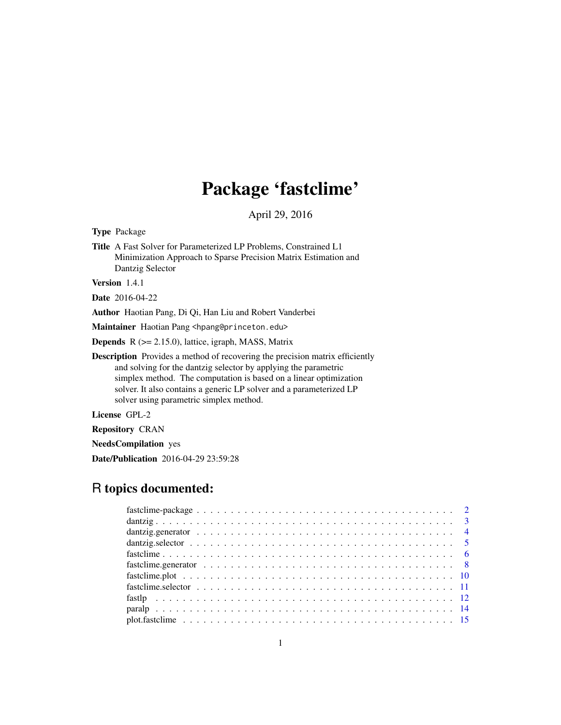## Package 'fastclime'

April 29, 2016

Type Package

Title A Fast Solver for Parameterized LP Problems, Constrained L1 Minimization Approach to Sparse Precision Matrix Estimation and Dantzig Selector

Version 1.4.1

Date 2016-04-22

Author Haotian Pang, Di Qi, Han Liu and Robert Vanderbei

Maintainer Haotian Pang <hpang@princeton.edu>

Depends R (>= 2.15.0), lattice, igraph, MASS, Matrix

Description Provides a method of recovering the precision matrix efficiently and solving for the dantzig selector by applying the parametric simplex method. The computation is based on a linear optimization solver. It also contains a generic LP solver and a parameterized LP solver using parametric simplex method.

License GPL-2

Repository CRAN

NeedsCompilation yes

Date/Publication 2016-04-29 23:59:28

### R topics documented: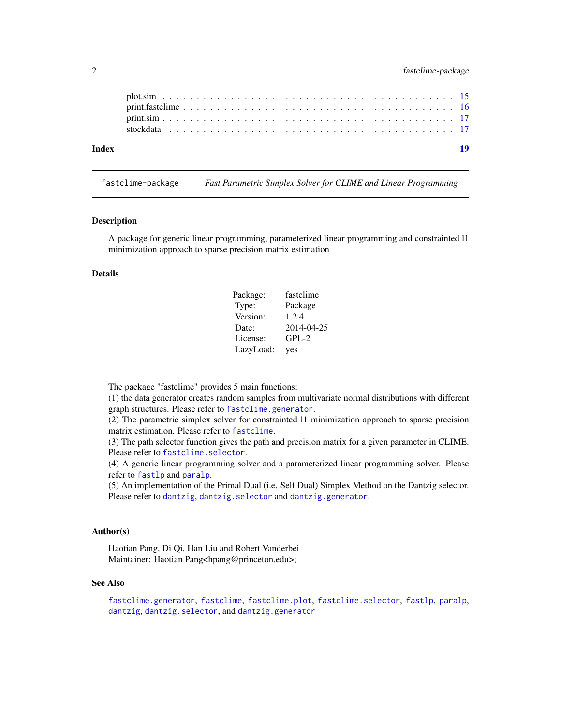<span id="page-1-0"></span>

| Index |  |  |  |  |  |  |  |  |  |  |  |  |  |  |  |  |  |  |  |
|-------|--|--|--|--|--|--|--|--|--|--|--|--|--|--|--|--|--|--|--|
|       |  |  |  |  |  |  |  |  |  |  |  |  |  |  |  |  |  |  |  |
|       |  |  |  |  |  |  |  |  |  |  |  |  |  |  |  |  |  |  |  |

<span id="page-1-1"></span>fastclime-package *Fast Parametric Simplex Solver for CLIME and Linear Programming*

#### Description

A package for generic linear programming, parameterized linear programming and constrainted l1 minimization approach to sparse precision matrix estimation

#### Details

| Package:  | fastclime  |
|-----------|------------|
| Type:     | Package    |
| Version:  | 1.2.4      |
| Date:     | 2014-04-25 |
| License:  | $GPL-2$    |
| LazyLoad: | yes        |

The package "fastclime" provides 5 main functions:

(1) the data generator creates random samples from multivariate normal distributions with different graph structures. Please refer to [fastclime.generator](#page-7-1).

(2) The parametric simplex solver for constrainted l1 minimization approach to sparse precision matrix estimation. Please refer to [fastclime](#page-5-1).

(3) The path selector function gives the path and precision matrix for a given parameter in CLIME. Please refer to [fastclime.selector](#page-10-1).

(4) A generic linear programming solver and a parameterized linear programming solver. Please refer to [fastlp](#page-11-1) and [paralp](#page-13-1).

(5) An implementation of the Primal Dual (i.e. Self Dual) Simplex Method on the Dantzig selector. Please refer to [dantzig](#page-2-1), [dantzig.selector](#page-4-1) and [dantzig.generator](#page-3-1).

#### Author(s)

Haotian Pang, Di Qi, Han Liu and Robert Vanderbei Maintainer: Haotian Pang<hpang@princeton.edu>;

#### See Also

[fastclime.generator](#page-7-1), [fastclime](#page-5-1), [fastclime.plot](#page-9-1), [fastclime.selector](#page-10-1), [fastlp](#page-11-1), [paralp](#page-13-1), [dantzig](#page-2-1), [dantzig.selector](#page-4-1), and [dantzig.generator](#page-3-1)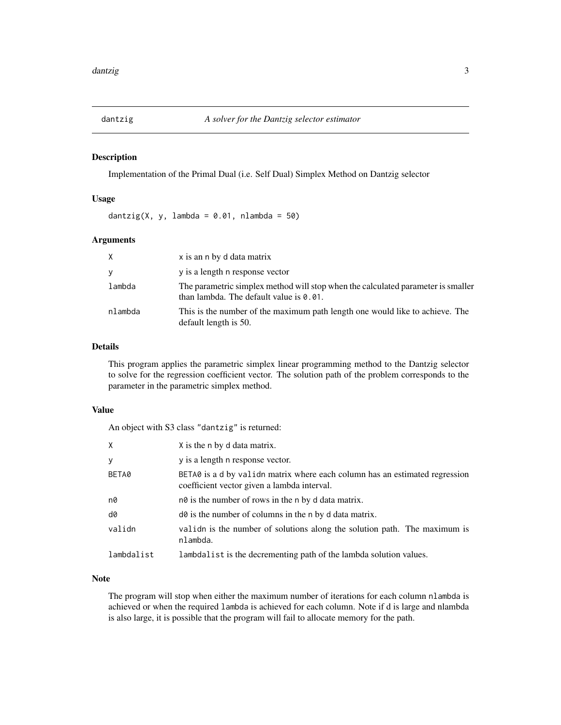<span id="page-2-1"></span><span id="page-2-0"></span>

#### Description

Implementation of the Primal Dual (i.e. Self Dual) Simplex Method on Dantzig selector

#### Usage

dantzig(X, y, lambda =  $0.01$ , nlambda =  $50$ )

#### Arguments

| X       | x is an n by d data matrix                                                                                                     |
|---------|--------------------------------------------------------------------------------------------------------------------------------|
| У       | y is a length n response vector                                                                                                |
| lambda  | The parametric simplex method will stop when the calculated parameter is smaller<br>than lambda. The default value is $0.01$ . |
| nlambda | This is the number of the maximum path length one would like to achieve. The<br>default length is 50.                          |

#### Details

This program applies the parametric simplex linear programming method to the Dantzig selector to solve for the regression coefficient vector. The solution path of the problem corresponds to the parameter in the parametric simplex method.

#### Value

An object with S3 class "dantzig" is returned:

| X          | X is the n by d data matrix.                                                                                               |
|------------|----------------------------------------------------------------------------------------------------------------------------|
| У          | y is a length n response vector.                                                                                           |
| BETA0      | BETA0 is a d by validn matrix where each column has an estimated regression<br>coefficient vector given a lambda interval. |
| n0         | not is the number of rows in the n by d data matrix.                                                                       |
| d0         | do is the number of columns in the n by d data matrix.                                                                     |
| validn     | valid is the number of solutions along the solution path. The maximum is<br>nlambda.                                       |
| lambdalist | lambdalist is the decrementing path of the lambda solution values.                                                         |

#### Note

The program will stop when either the maximum number of iterations for each column nlambda is achieved or when the required lambda is achieved for each column. Note if d is large and nlambda is also large, it is possible that the program will fail to allocate memory for the path.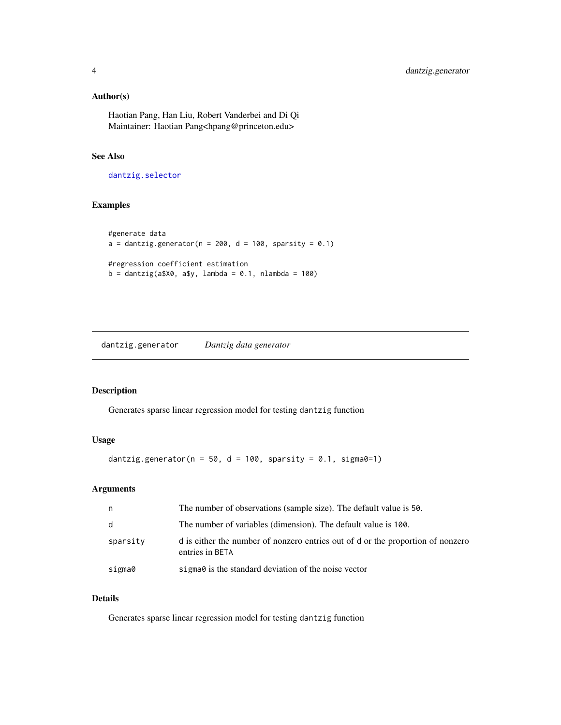#### <span id="page-3-0"></span>Author(s)

Haotian Pang, Han Liu, Robert Vanderbei and Di Qi Maintainer: Haotian Pang<hpang@princeton.edu>

#### See Also

[dantzig.selector](#page-4-1)

#### Examples

```
#generate data
a = dantzig.generator(n = 200, d = 100, sparsity = 0.1)
#regression coefficient estimation
b = dantzig(a$X0, a$y, lambda = 0.1, nlambda = 100)
```
<span id="page-3-1"></span>dantzig.generator *Dantzig data generator*

#### Description

Generates sparse linear regression model for testing dantzig function

#### Usage

dantzig.generator( $n = 50$ , d = 100, sparsity = 0.1, sigma0=1)

#### Arguments

| n        | The number of observations (sample size). The default value is 50.                                 |
|----------|----------------------------------------------------------------------------------------------------|
| d        | The number of variables (dimension). The default value is 100.                                     |
| sparsity | d is either the number of nonzero entries out of d or the proportion of nonzero<br>entries in BETA |
| sigma0   | sigma $\theta$ is the standard deviation of the noise vector                                       |

#### Details

Generates sparse linear regression model for testing dantzig function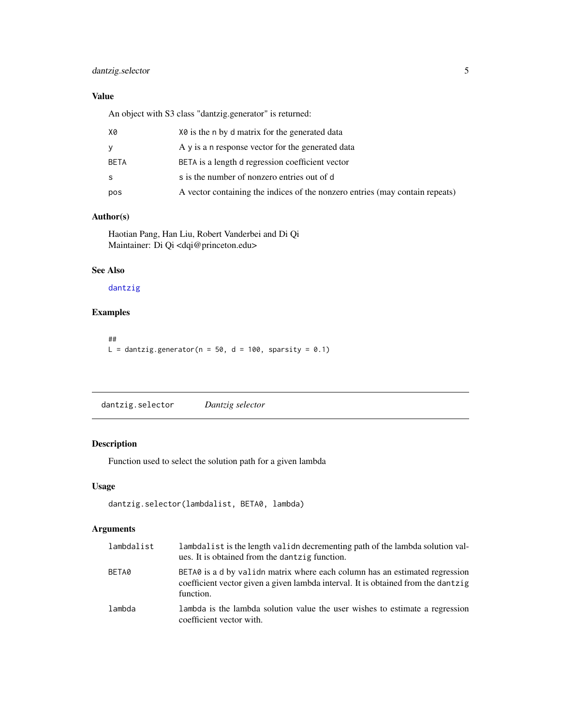#### <span id="page-4-0"></span>dantzig.selector 5

#### Value

An object with S3 class "dantzig.generator" is returned:

| X0   | X0 is the n by d matrix for the generated data                               |
|------|------------------------------------------------------------------------------|
| y    | A y is a n response vector for the generated data                            |
| BETA | BETA is a length d regression coefficient vector                             |
| -S   | s is the number of nonzero entries out of d                                  |
| pos  | A vector containing the indices of the nonzero entries (may contain repeats) |
|      |                                                                              |

#### Author(s)

Haotian Pang, Han Liu, Robert Vanderbei and Di Qi Maintainer: Di Qi <dqi@princeton.edu>

#### See Also

#### [dantzig](#page-2-1)

#### Examples

## L = dantzig.generator( $n = 50$ , d = 100, sparsity = 0.1)

<span id="page-4-1"></span>dantzig.selector *Dantzig selector*

#### Description

Function used to select the solution path for a given lambda

#### Usage

```
dantzig.selector(lambdalist, BETA0, lambda)
```
#### Arguments

| lambdalist | lambdalist is the length valid decrementing path of the lambda solution val-<br>ues. It is obtained from the dantzig function.                                               |
|------------|------------------------------------------------------------------------------------------------------------------------------------------------------------------------------|
| BETA0      | BETAO is a d by valid matrix where each column has an estimated regression<br>coefficient vector given a given lambda interval. It is obtained from the dantzig<br>function. |
| lambda     | lambda is the lambda solution value the user wishes to estimate a regression<br>coefficient vector with.                                                                     |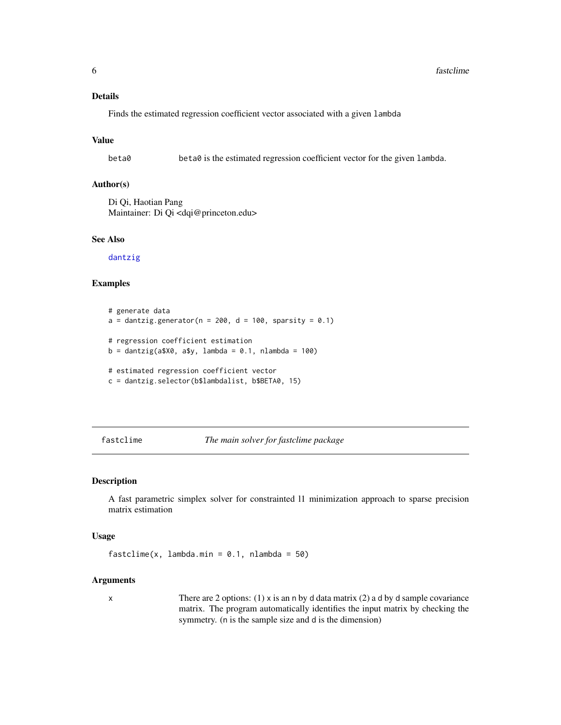#### <span id="page-5-0"></span>Details

Finds the estimated regression coefficient vector associated with a given lambda

#### Value

beta0 beta0 is the estimated regression coefficient vector for the given lambda.

#### Author(s)

Di Qi, Haotian Pang Maintainer: Di Qi <dqi@princeton.edu>

#### See Also

[dantzig](#page-2-1)

#### Examples

```
# generate data
a = dantzig.generator(n = 200, d = 100, sparsity = 0.1)
# regression coefficient estimation
b = dantzig(a$X0, a$y, lambda = 0.1, nlambda = 100)
# estimated regression coefficient vector
c = dantzig.selector(b$lambdalist, b$BETA0, 15)
```
<span id="page-5-1"></span>fastclime *The main solver for fastclime package*

#### Description

A fast parametric simplex solver for constrainted l1 minimization approach to sparse precision matrix estimation

#### Usage

fastclime(x, lambda.min =  $0.1$ , nlambda =  $50$ )

#### Arguments

x There are 2 options: (1) x is an n by d data matrix (2) a d by d sample covariance matrix. The program automatically identifies the input matrix by checking the symmetry. (n is the sample size and d is the dimension)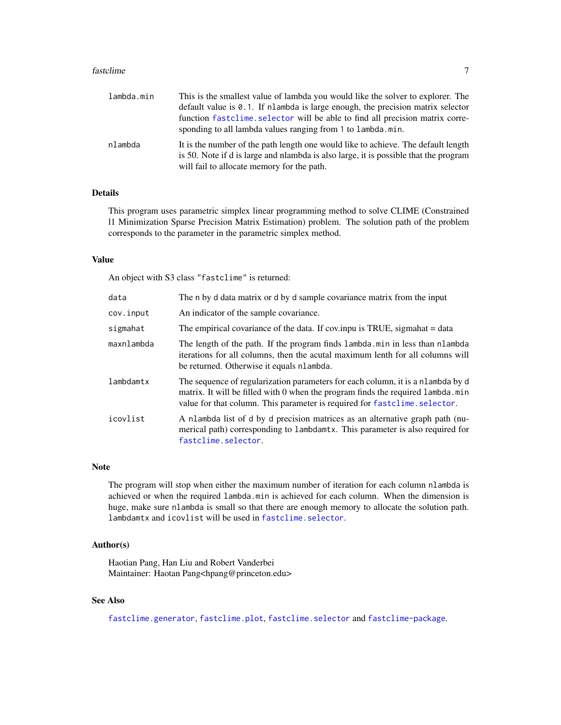#### <span id="page-6-0"></span>fastclime 7

| lambda.min | This is the smallest value of lambda you would like the solver to explorer. The<br>default value is 0.1. If nlambda is large enough, the precision matrix selector<br>function fastclime. selector will be able to find all precision matrix corre-<br>sponding to all lambda values ranging from 1 to lambda.min. |
|------------|--------------------------------------------------------------------------------------------------------------------------------------------------------------------------------------------------------------------------------------------------------------------------------------------------------------------|
| nlambda    | It is the number of the path length one would like to achieve. The default length<br>is 50. Note if d is large and nlambda is also large, it is possible that the program<br>will fail to allocate memory for the path.                                                                                            |

#### Details

This program uses parametric simplex linear programming method to solve CLIME (Constrained l1 Minimization Sparse Precision Matrix Estimation) problem. The solution path of the problem corresponds to the parameter in the parametric simplex method.

#### Value

An object with S3 class "fastclime" is returned:

| data       | The n by d data matrix or d by d sample covariance matrix from the input                                                                                                                                                                         |
|------------|--------------------------------------------------------------------------------------------------------------------------------------------------------------------------------------------------------------------------------------------------|
| cov.input  | An indicator of the sample covariance.                                                                                                                                                                                                           |
| sigmahat   | The empirical covariance of the data. If cov.inpu is TRUE, sigmahat = data                                                                                                                                                                       |
| maxnlambda | The length of the path. If the program finds lambda min in less than nlambda<br>iterations for all columns, then the acutal maximum lenth for all columns will<br>be returned. Otherwise it equals nlambda.                                      |
| lambdamtx  | The sequence of regularization parameters for each column, it is a nlambda by d<br>matrix. It will be filled with 0 when the program finds the required lambda.min<br>value for that column. This parameter is required for fastclime. selector. |
| icovlist   | A nlambda list of d by d precision matrices as an alternative graph path (nu-<br>merical path) corresponding to lambdamtx. This parameter is also required for<br>fastclime.selector.                                                            |

#### Note

The program will stop when either the maximum number of iteration for each column nlambda is achieved or when the required lambda.min is achieved for each column. When the dimension is huge, make sure nlambda is small so that there are enough memory to allocate the solution path. lambdamtx and icovlist will be used in [fastclime.selector](#page-10-1).

#### Author(s)

Haotian Pang, Han Liu and Robert Vanderbei Maintainer: Haotan Pang<hpang@princeton.edu>

#### See Also

[fastclime.generator](#page-7-1), [fastclime.plot](#page-9-1), [fastclime.selector](#page-10-1) and [fastclime-package](#page-1-1).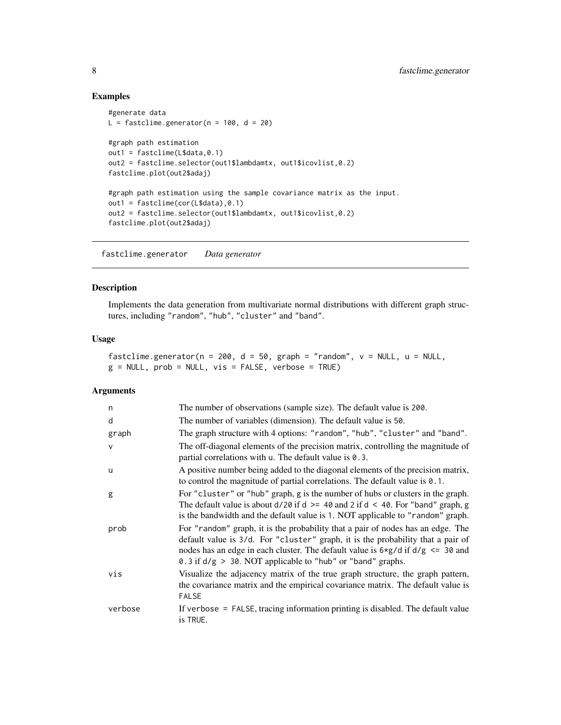#### Examples

```
#generate data
L = fastclime.generator(n = 100, d = 20)
#graph path estimation
out1 = fastcline(L$data, 0.1)out2 = fastclime.selector(out1$lambdamtx, out1$icovlist,0.2)
fastclime.plot(out2$adaj)
#graph path estimation using the sample covariance matrix as the input.
out1 = fastclime(cor(L$data),0.1)
out2 = fastclime.selector(out1$lambdamtx, out1$icovlist,0.2)
fastclime.plot(out2$adaj)
```
<span id="page-7-1"></span>fastclime.generator *Data generator*

#### Description

Implements the data generation from multivariate normal distributions with different graph structures, including "random", "hub", "cluster" and "band".

#### Usage

fastclime.generator(n = 200, d = 50, graph = "random",  $v = NULL$ , u = NULL,  $g = NULL$ ,  $prob = NULL$ ,  $vis = FALSE$ ,  $verbose = TRUE$ )

#### Arguments

| n            | The number of observations (sample size). The default value is 200.                                                                                                                                                                                                                                                               |
|--------------|-----------------------------------------------------------------------------------------------------------------------------------------------------------------------------------------------------------------------------------------------------------------------------------------------------------------------------------|
| d            | The number of variables (dimension). The default value is 50.                                                                                                                                                                                                                                                                     |
| graph        | The graph structure with 4 options: "random", "hub", "cluster" and "band".                                                                                                                                                                                                                                                        |
| $\mathsf{v}$ | The off-diagonal elements of the precision matrix, controlling the magnitude of<br>partial correlations with u. The default value is 0.3.                                                                                                                                                                                         |
| u            | A positive number being added to the diagonal elements of the precision matrix,<br>to control the magnitude of partial correlations. The default value is 0.1.                                                                                                                                                                    |
| g            | For "cluster" or "hub" graph, g is the number of hubs or clusters in the graph.<br>The default value is about $d/20$ if $d > = 40$ and 2 if $d < 40$ . For "band" graph, g<br>is the bandwidth and the default value is 1. NOT applicable to "random" graph.                                                                      |
| prob         | For "random" graph, it is the probability that a pair of nodes has an edge. The<br>default value is 3/d. For "cluster" graph, it is the probability that a pair of<br>nodes has an edge in each cluster. The default value is $6 \times g/d$ if $d/g \le 30$ and<br>0.3 if $d/g > 30$ . NOT applicable to "hub" or "band" graphs. |
| vis          | Visualize the adjacency matrix of the true graph structure, the graph pattern,<br>the covariance matrix and the empirical covariance matrix. The default value is<br><b>FALSE</b>                                                                                                                                                 |
| verbose      | If verbose = FALSE, tracing information printing is disabled. The default value<br>is TRUE.                                                                                                                                                                                                                                       |

<span id="page-7-0"></span>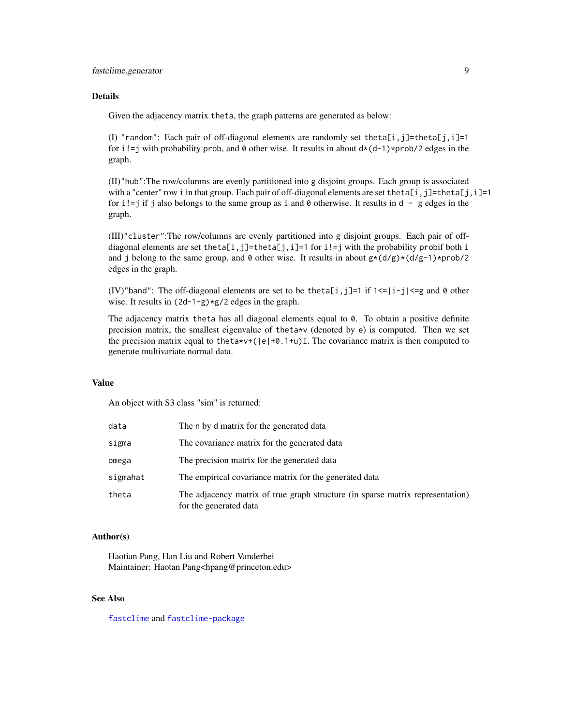#### <span id="page-8-0"></span>fastclime.generator 9

#### **Details**

Given the adjacency matrix theta, the graph patterns are generated as below:

(I) "random": Each pair of off-diagonal elements are randomly set theta[i,j]=theta[j,i]=1 for i!=j with probability prob, and 0 other wise. It results in about  $d*(d-1)*prob/2$  edges in the graph.

(II)"hub":The row/columns are evenly partitioned into g disjoint groups. Each group is associated with a "center" row i in that group. Each pair of off-diagonal elements are set theta[i,j]=theta[j,i]=1 for i!=j if j also belongs to the same group as i and  $\theta$  otherwise. It results in d - g edges in the graph.

(III)"cluster":The row/columns are evenly partitioned into g disjoint groups. Each pair of offdiagonal elements are set theta[i,j]=theta[j,i]=1 for i!=j with the probability probif both i and j belong to the same group, and  $\theta$  other wise. It results in about  $g*(d/g)*(d/g-1)*prob/2$ edges in the graph.

(IV)"band": The off-diagonal elements are set to be theta[i,j]=1 if  $1 \le |i-j| \le g$  and 0 other wise. It results in  $(2d-1-g)*g/2$  edges in the graph.

The adjacency matrix theta has all diagonal elements equal to 0. To obtain a positive definite precision matrix, the smallest eigenvalue of theta\*v (denoted by e) is computed. Then we set the precision matrix equal to the ta\*v+( $|e| + 0.1 + u$ ) I. The covariance matrix is then computed to generate multivariate normal data.

#### Value

An object with S3 class "sim" is returned:

| data     | The n by d matrix for the generated data                                                                 |
|----------|----------------------------------------------------------------------------------------------------------|
| sigma    | The covariance matrix for the generated data                                                             |
| omega    | The precision matrix for the generated data                                                              |
| sigmahat | The empirical covariance matrix for the generated data                                                   |
| theta    | The adjacency matrix of true graph structure (in sparse matrix representation)<br>for the generated data |

#### Author(s)

Haotian Pang, Han Liu and Robert Vanderbei Maintainer: Haotan Pang<hpang@princeton.edu>

#### See Also

[fastclime](#page-5-1) and [fastclime-package](#page-1-1)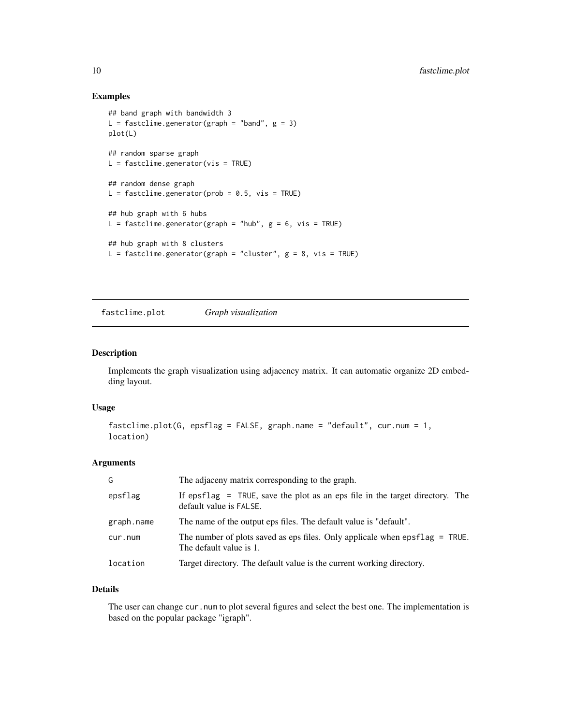#### Examples

```
## band graph with bandwidth 3
L = fastclime.generator(graph = "band", g = 3)
plot(L)
## random sparse graph
L = fastclime.generator(vis = TRUE)
## random dense graph
L = fastclime.generator(prob = 0.5, vis = TRUE)
## hub graph with 6 hubs
L = fastclime.generator(graph = "hub", g = 6, vis = TRUE)
## hub graph with 8 clusters
L = fastclime.generator(graph = "cluster", g = 8, vis = TRUE)
```
<span id="page-9-1"></span>fastclime.plot *Graph visualization*

#### Description

Implements the graph visualization using adjacency matrix. It can automatic organize 2D embedding layout.

#### Usage

```
fastclime.plot(G, epsflag = FALSE, graph.name = "default", cur.num = 1,
location)
```
#### Arguments

| G          | The adjaceny matrix corresponding to the graph.                                                           |
|------------|-----------------------------------------------------------------------------------------------------------|
| epsflag    | If epsflag $=$ TRUE, save the plot as an eps file in the target directory. The<br>default value is FALSE. |
| graph.name | The name of the output eps files. The default value is "default".                                         |
| cur.num    | The number of plots saved as eps files. Only applicale when $epsflag = TRUE$ .<br>The default value is 1. |
| location   | Target directory. The default value is the current working directory.                                     |

#### Details

The user can change cur.num to plot several figures and select the best one. The implementation is based on the popular package "igraph".

<span id="page-9-0"></span>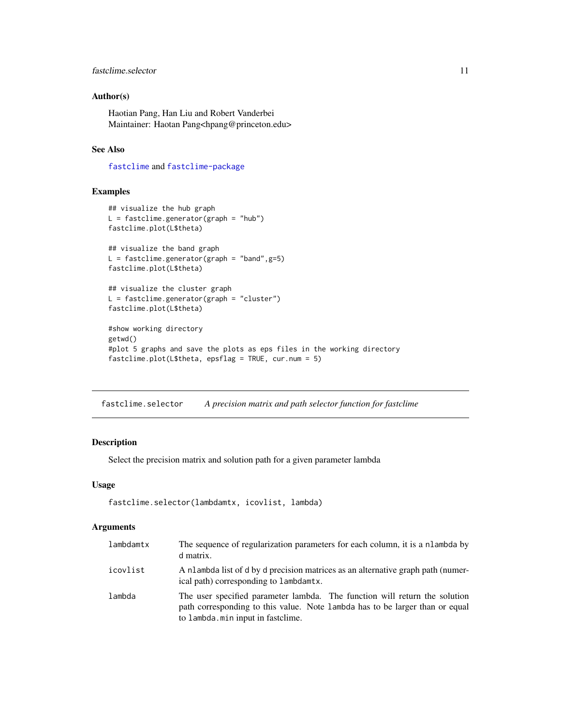#### <span id="page-10-0"></span>fastclime.selector 11

#### Author(s)

Haotian Pang, Han Liu and Robert Vanderbei Maintainer: Haotan Pang<hpang@princeton.edu>

#### See Also

[fastclime](#page-5-1) and [fastclime-package](#page-1-1)

#### Examples

```
## visualize the hub graph
L = fastcline.generator(graph = "hub")fastclime.plot(L$theta)
## visualize the band graph
L = fastclime.generator(graph = "band", g=5)
fastclime.plot(L$theta)
## visualize the cluster graph
L = fastclime.generator(graph = "cluster")
fastclime.plot(L$theta)
#show working directory
getwd()
#plot 5 graphs and save the plots as eps files in the working directory
fastclime.plot(L$theta, epsflag = TRUE, cur.num = 5)
```
<span id="page-10-1"></span>fastclime.selector *A precision matrix and path selector function for fastclime*

#### Description

Select the precision matrix and solution path for a given parameter lambda

#### Usage

```
fastclime.selector(lambdamtx, icovlist, lambda)
```
#### Arguments

| lambdamtx | The sequence of regularization parameters for each column, it is a nlambda by<br>d matrix.                                                                                                       |
|-----------|--------------------------------------------------------------------------------------------------------------------------------------------------------------------------------------------------|
| icovlist  | A nlambda list of d by d precision matrices as an alternative graph path (numer-<br>ical path) corresponding to lambdamtx.                                                                       |
| lambda    | The user specified parameter lambda. The function will return the solution<br>path corresponding to this value. Note lambda has to be larger than or equal<br>to lambda. min input in fastclime. |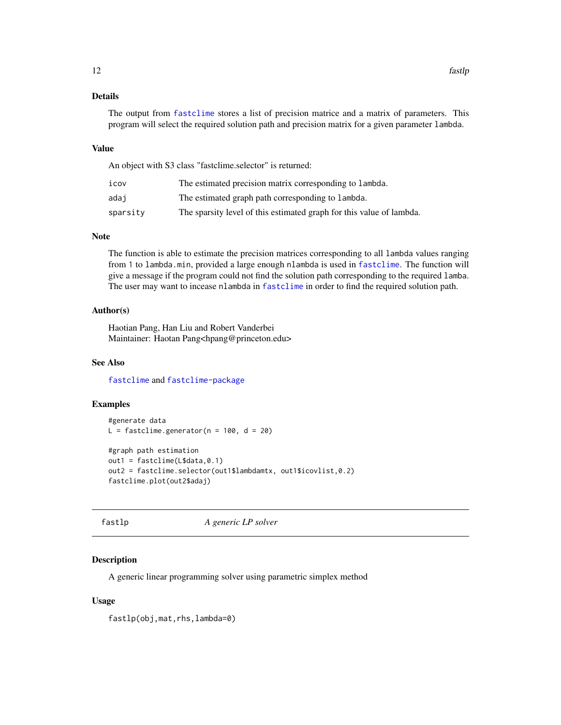#### <span id="page-11-0"></span>Details

The output from [fastclime](#page-5-1) stores a list of precision matrice and a matrix of parameters. This program will select the required solution path and precision matrix for a given parameter lambda.

#### Value

An object with S3 class "fastclime.selector" is returned:

| icov     | The estimated precision matrix corresponding to lambda.              |
|----------|----------------------------------------------------------------------|
| adai     | The estimated graph path corresponding to lambda.                    |
| sparsity | The sparsity level of this estimated graph for this value of lambda. |

#### Note

The function is able to estimate the precision matrices corresponding to all lambda values ranging from 1 to lambda.min, provided a large enough nlambda is used in [fastclime](#page-5-1). The function will give a message if the program could not find the solution path corresponding to the required lamba. The user may want to incease nlambda in [fastclime](#page-5-1) in order to find the required solution path.

#### Author(s)

Haotian Pang, Han Liu and Robert Vanderbei Maintainer: Haotan Pang<hpang@princeton.edu>

#### See Also

[fastclime](#page-5-1) and [fastclime-package](#page-1-1)

#### Examples

```
#generate data
L = fastclime.generator(n = 100, d = 20)
#graph path estimation
out1 = fastcline(L$data, 0.1)out2 = fastclime.selector(out1$lambdamtx, out1$icovlist,0.2)
fastclime.plot(out2$adaj)
```
<span id="page-11-1"></span>fastlp *A generic LP solver*

#### Description

A generic linear programming solver using parametric simplex method

#### Usage

fastlp(obj,mat,rhs,lambda=0)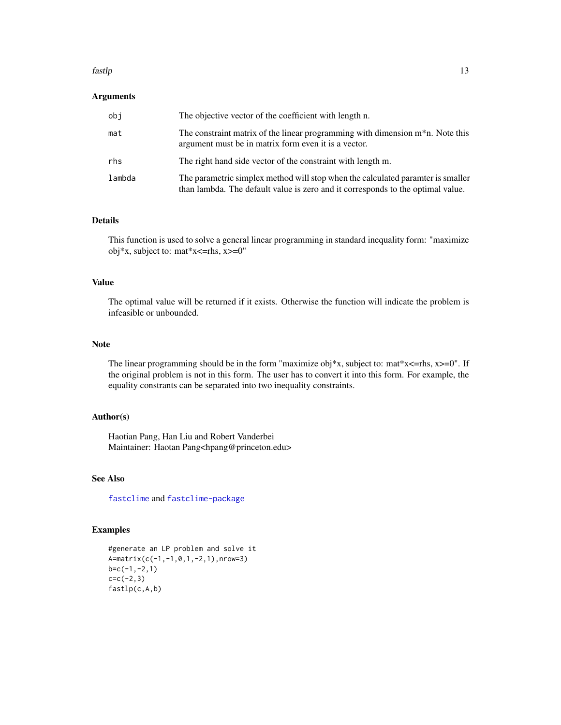#### fastlp that is a state of the state of the state of the state of the state of the state of the state of the state of the state of the state of the state of the state of the state of the state of the state of the state of t

#### Arguments

| obi    | The objective vector of the coefficient with length n.                                                                                                             |
|--------|--------------------------------------------------------------------------------------------------------------------------------------------------------------------|
| mat    | The constraint matrix of the linear programming with dimension $m^*n$ . Note this<br>argument must be in matrix form even it is a vector.                          |
| rhs    | The right hand side vector of the constraint with length m.                                                                                                        |
| lambda | The parametric simplex method will stop when the calculated paramter is smaller<br>than lambda. The default value is zero and it corresponds to the optimal value. |

#### Details

This function is used to solve a general linear programming in standard inequality form: "maximize obj\*x, subject to: mat\*x<=rhs, x>=0"

#### Value

The optimal value will be returned if it exists. Otherwise the function will indicate the problem is infeasible or unbounded.

#### Note

The linear programming should be in the form "maximize obj\*x, subject to: mat\*x<=rhs,  $x \ge 0$ ". If the original problem is not in this form. The user has to convert it into this form. For example, the equality constrants can be separated into two inequality constraints.

#### Author(s)

Haotian Pang, Han Liu and Robert Vanderbei Maintainer: Haotan Pang<hpang@princeton.edu>

#### See Also

[fastclime](#page-5-1) and [fastclime-package](#page-1-1)

#### Examples

```
#generate an LP problem and solve it
A=matrix(c(-1,-1,0,1,-2,1),nrow=3)
b=c(-1,-2,1)
c=c(-2,3)fastlp(c,A,b)
```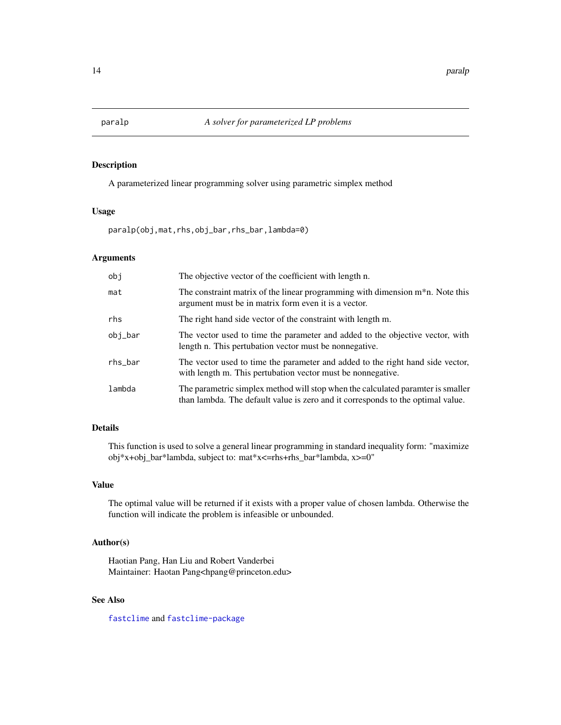<span id="page-13-1"></span><span id="page-13-0"></span>

#### Description

A parameterized linear programming solver using parametric simplex method

#### Usage

paralp(obj,mat,rhs,obj\_bar,rhs\_bar,lambda=0)

#### Arguments

| obj     | The objective vector of the coefficient with length n.                                                                                                             |
|---------|--------------------------------------------------------------------------------------------------------------------------------------------------------------------|
| mat     | The constraint matrix of the linear programming with dimension $m^*n$ . Note this<br>argument must be in matrix form even it is a vector.                          |
| rhs     | The right hand side vector of the constraint with length m.                                                                                                        |
| obj_bar | The vector used to time the parameter and added to the objective vector, with<br>length n. This pertubation vector must be nonnegative.                            |
| rhs_bar | The vector used to time the parameter and added to the right hand side vector,<br>with length m. This pertubation vector must be nonnegative.                      |
| lambda  | The parametric simplex method will stop when the calculated paramter is smaller<br>than lambda. The default value is zero and it corresponds to the optimal value. |

#### Details

This function is used to solve a general linear programming in standard inequality form: "maximize obj\*x+obj\_bar\*lambda, subject to: mat\*x<=rhs+rhs\_bar\*lambda, x>=0"

#### Value

The optimal value will be returned if it exists with a proper value of chosen lambda. Otherwise the function will indicate the problem is infeasible or unbounded.

#### Author(s)

Haotian Pang, Han Liu and Robert Vanderbei Maintainer: Haotan Pang<hpang@princeton.edu>

#### See Also

[fastclime](#page-5-1) and [fastclime-package](#page-1-1)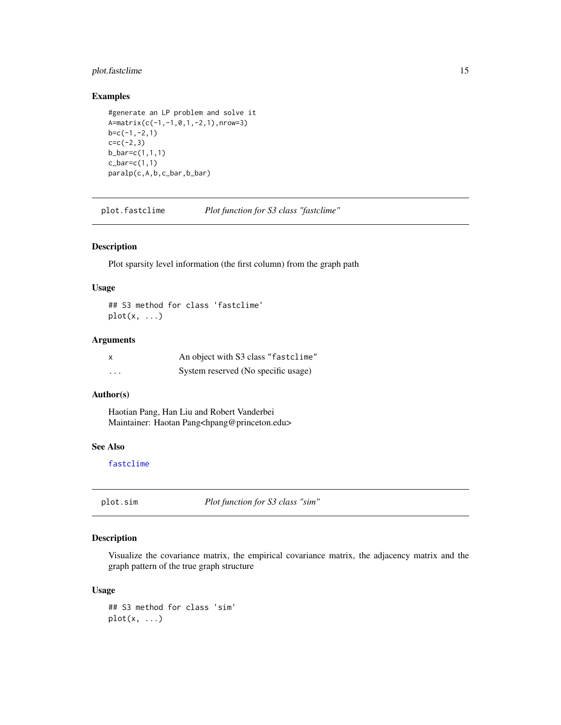#### <span id="page-14-0"></span>plot.fastclime 15

#### Examples

```
#generate an LP problem and solve it
A=matrix(c(-1,-1,0,1,-2,1),nrow=3)
b=c(-1,-2,1)c=c(-2,3)b_bar=c(1,1,1)
c_b = c(1,1)paralp(c,A,b,c_bar,b_bar)
```
plot.fastclime *Plot function for S3 class "fastclime"*

#### Description

Plot sparsity level information (the first column) from the graph path

#### Usage

## S3 method for class 'fastclime'  $plot(x, \ldots)$ 

#### Arguments

| x        | An object with S3 class "fastclime" |
|----------|-------------------------------------|
| $\cdots$ | System reserved (No specific usage) |

#### Author(s)

Haotian Pang, Han Liu and Robert Vanderbei Maintainer: Haotan Pang<hpang@princeton.edu>

#### See Also

[fastclime](#page-5-1)

plot.sim *Plot function for S3 class "sim"*

#### Description

Visualize the covariance matrix, the empirical covariance matrix, the adjacency matrix and the graph pattern of the true graph structure

#### Usage

```
## S3 method for class 'sim'
plot(x, ...)
```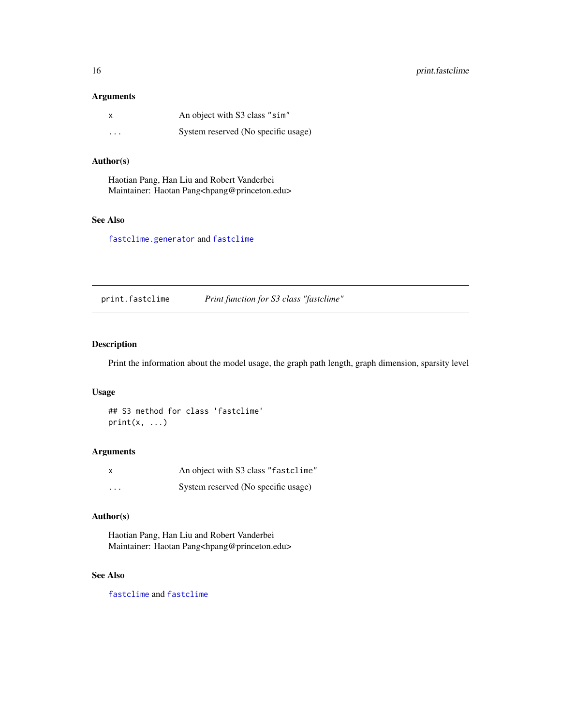#### <span id="page-15-0"></span>Arguments

| X                       | An object with S3 class "sim"       |
|-------------------------|-------------------------------------|
| $\cdot$ $\cdot$ $\cdot$ | System reserved (No specific usage) |

#### Author(s)

Haotian Pang, Han Liu and Robert Vanderbei Maintainer: Haotan Pang<hpang@princeton.edu>

#### See Also

[fastclime.generator](#page-7-1) and [fastclime](#page-5-1)

print.fastclime *Print function for S3 class "fastclime"*

#### Description

Print the information about the model usage, the graph path length, graph dimension, sparsity level

#### Usage

```
## S3 method for class 'fastclime'
print(x, \ldots)
```
#### Arguments

|          | An object with S3 class "fastclime" |
|----------|-------------------------------------|
| $\cdots$ | System reserved (No specific usage) |

#### Author(s)

Haotian Pang, Han Liu and Robert Vanderbei Maintainer: Haotan Pang<hpang@princeton.edu>

#### See Also

[fastclime](#page-5-1) and [fastclime](#page-5-1)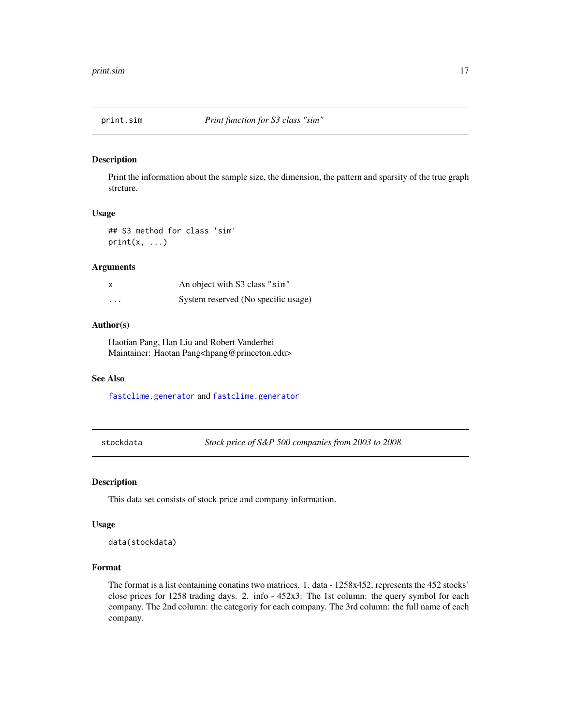<span id="page-16-0"></span>

#### Description

Print the information about the sample size, the dimension, the pattern and sparsity of the true graph strcture.

#### Usage

## S3 method for class 'sim'  $print(x, \ldots)$ 

#### Arguments

| x        | An object with S3 class "sim"       |
|----------|-------------------------------------|
| $\cdots$ | System reserved (No specific usage) |

#### Author(s)

Haotian Pang, Han Liu and Robert Vanderbei Maintainer: Haotan Pang<hpang@princeton.edu>

#### See Also

[fastclime.generator](#page-7-1) and [fastclime.generator](#page-7-1)

stockdata *Stock price of S&P 500 companies from 2003 to 2008*

#### Description

This data set consists of stock price and company information.

#### Usage

data(stockdata)

#### Format

The format is a list containing conatins two matrices. 1. data - 1258x452, represents the 452 stocks' close prices for 1258 trading days. 2. info - 452x3: The 1st column: the query symbol for each company. The 2nd column: the categoriy for each company. The 3rd column: the full name of each company.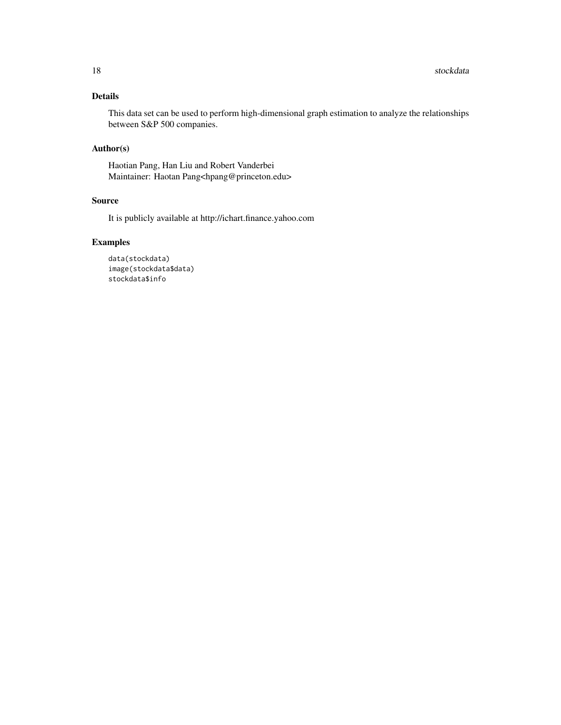#### Details

This data set can be used to perform high-dimensional graph estimation to analyze the relationships between S&P 500 companies.

#### Author(s)

Haotian Pang, Han Liu and Robert Vanderbei Maintainer: Haotan Pang<hpang@princeton.edu>

#### Source

It is publicly available at http://ichart.finance.yahoo.com

#### Examples

```
data(stockdata)
image(stockdata$data)
stockdata$info
```